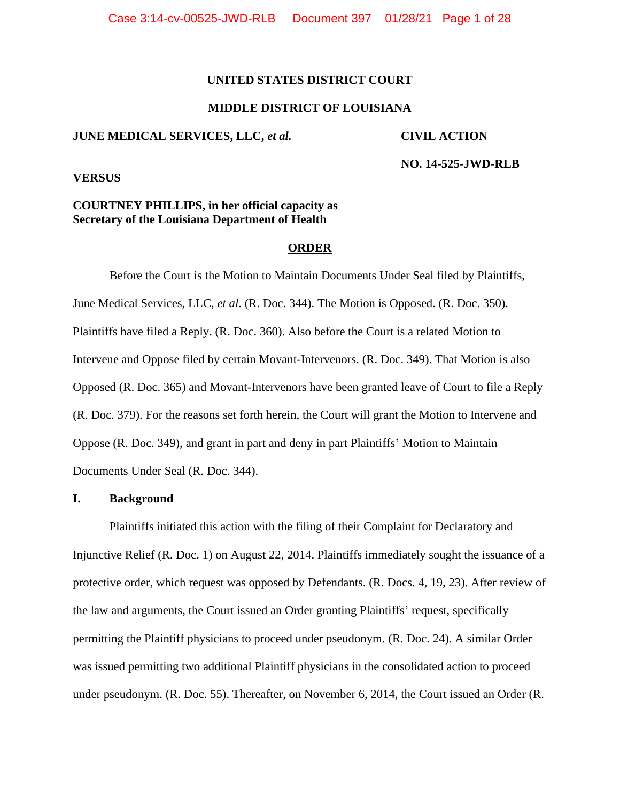# **UNITED STATES DISTRICT COURT**

# **MIDDLE DISTRICT OF LOUISIANA**

# **JUNE MEDICAL SERVICES, LLC,** *et al.* **CIVIL ACTION**

**NO. 14-525-JWD-RLB**

**VERSUS**

# **COURTNEY PHILLIPS, in her official capacity as Secretary of the Louisiana Department of Health**

# **ORDER**

Before the Court is the Motion to Maintain Documents Under Seal filed by Plaintiffs, June Medical Services, LLC, *et al*. (R. Doc. 344). The Motion is Opposed. (R. Doc. 350). Plaintiffs have filed a Reply. (R. Doc. 360). Also before the Court is a related Motion to Intervene and Oppose filed by certain Movant-Intervenors. (R. Doc. 349). That Motion is also Opposed (R. Doc. 365) and Movant-Intervenors have been granted leave of Court to file a Reply (R. Doc. 379). For the reasons set forth herein, the Court will grant the Motion to Intervene and Oppose (R. Doc. 349), and grant in part and deny in part Plaintiffs' Motion to Maintain Documents Under Seal (R. Doc. 344).

# **I. Background**

Plaintiffs initiated this action with the filing of their Complaint for Declaratory and Injunctive Relief (R. Doc. 1) on August 22, 2014. Plaintiffs immediately sought the issuance of a protective order, which request was opposed by Defendants. (R. Docs. 4, 19, 23). After review of the law and arguments, the Court issued an Order granting Plaintiffs' request, specifically permitting the Plaintiff physicians to proceed under pseudonym. (R. Doc. 24). A similar Order was issued permitting two additional Plaintiff physicians in the consolidated action to proceed under pseudonym. (R. Doc. 55). Thereafter, on November 6, 2014, the Court issued an Order (R.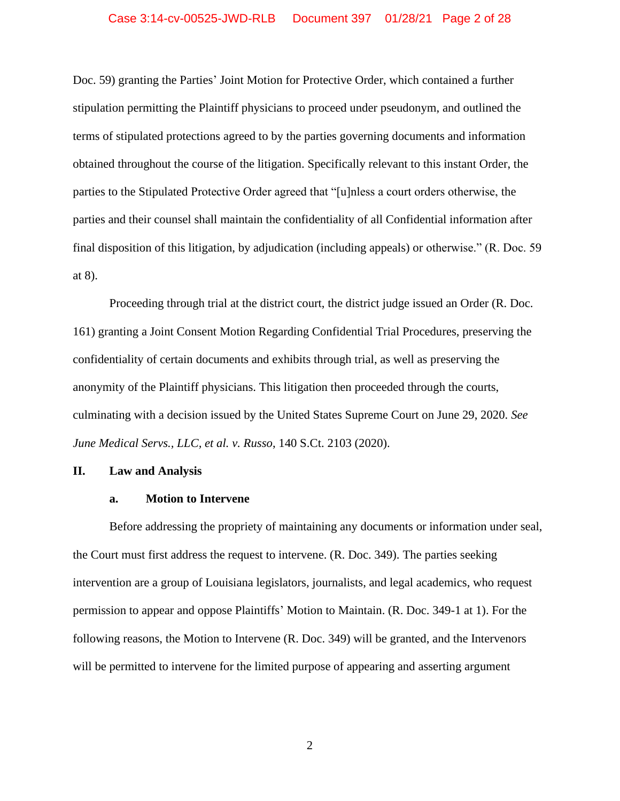# Case 3:14-cv-00525-JWD-RLB Document 397 01/28/21 Page 2 of 28

Doc. 59) granting the Parties' Joint Motion for Protective Order, which contained a further stipulation permitting the Plaintiff physicians to proceed under pseudonym, and outlined the terms of stipulated protections agreed to by the parties governing documents and information obtained throughout the course of the litigation. Specifically relevant to this instant Order, the parties to the Stipulated Protective Order agreed that "[u]nless a court orders otherwise, the parties and their counsel shall maintain the confidentiality of all Confidential information after final disposition of this litigation, by adjudication (including appeals) or otherwise." (R. Doc. 59 at 8).

Proceeding through trial at the district court, the district judge issued an Order (R. Doc. 161) granting a Joint Consent Motion Regarding Confidential Trial Procedures, preserving the confidentiality of certain documents and exhibits through trial, as well as preserving the anonymity of the Plaintiff physicians. This litigation then proceeded through the courts, culminating with a decision issued by the United States Supreme Court on June 29, 2020. *See June Medical Servs., LLC, et al. v. Russo*, 140 S.Ct. 2103 (2020).

# **II. Law and Analysis**

#### **a. Motion to Intervene**

Before addressing the propriety of maintaining any documents or information under seal, the Court must first address the request to intervene. (R. Doc. 349). The parties seeking intervention are a group of Louisiana legislators, journalists, and legal academics, who request permission to appear and oppose Plaintiffs' Motion to Maintain. (R. Doc. 349-1 at 1). For the following reasons, the Motion to Intervene (R. Doc. 349) will be granted, and the Intervenors will be permitted to intervene for the limited purpose of appearing and asserting argument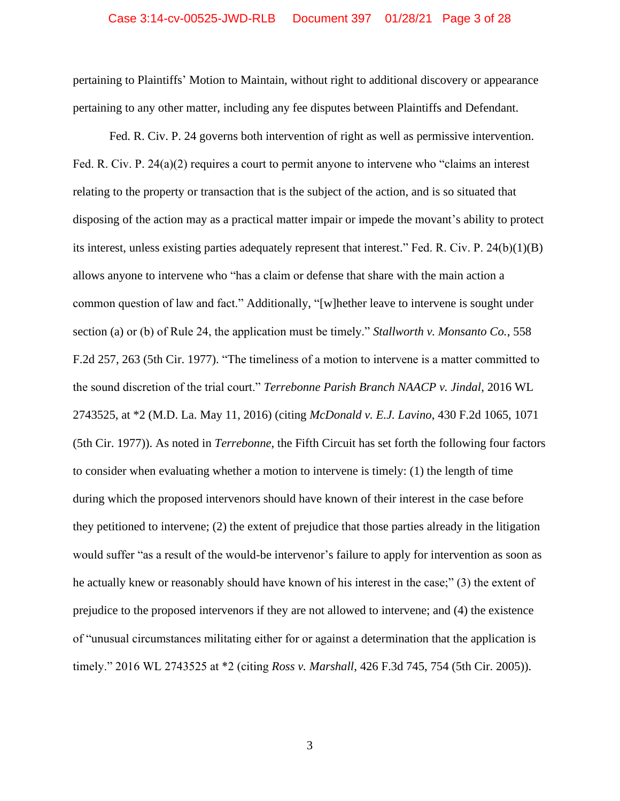pertaining to Plaintiffs' Motion to Maintain, without right to additional discovery or appearance pertaining to any other matter, including any fee disputes between Plaintiffs and Defendant.

Fed. R. Civ. P. 24 governs both intervention of right as well as permissive intervention. Fed. R. Civ. P. 24(a)(2) requires a court to permit anyone to intervene who "claims an interest relating to the property or transaction that is the subject of the action, and is so situated that disposing of the action may as a practical matter impair or impede the movant's ability to protect its interest, unless existing parties adequately represent that interest." Fed. R. Civ. P. 24(b)(1)(B) allows anyone to intervene who "has a claim or defense that share with the main action a common question of law and fact." Additionally, "[w]hether leave to intervene is sought under section (a) or (b) of Rule 24, the application must be timely." *Stallworth v. Monsanto Co.*, 558 F.2d 257, 263 (5th Cir. 1977). "The timeliness of a motion to intervene is a matter committed to the sound discretion of the trial court." *Terrebonne Parish Branch NAACP v. Jindal*, 2016 WL 2743525, at \*2 (M.D. La. May 11, 2016) (citing *McDonald v. E.J. Lavino*, 430 F.2d 1065, 1071 (5th Cir. 1977)). As noted in *Terrebonne*, the Fifth Circuit has set forth the following four factors to consider when evaluating whether a motion to intervene is timely: (1) the length of time during which the proposed intervenors should have known of their interest in the case before they petitioned to intervene; (2) the extent of prejudice that those parties already in the litigation would suffer "as a result of the would-be intervenor's failure to apply for intervention as soon as he actually knew or reasonably should have known of his interest in the case;" (3) the extent of prejudice to the proposed intervenors if they are not allowed to intervene; and (4) the existence of "unusual circumstances militating either for or against a determination that the application is timely." 2016 WL 2743525 at \*2 (citing *Ross v. Marshall*, 426 F.3d 745, 754 (5th Cir. 2005)).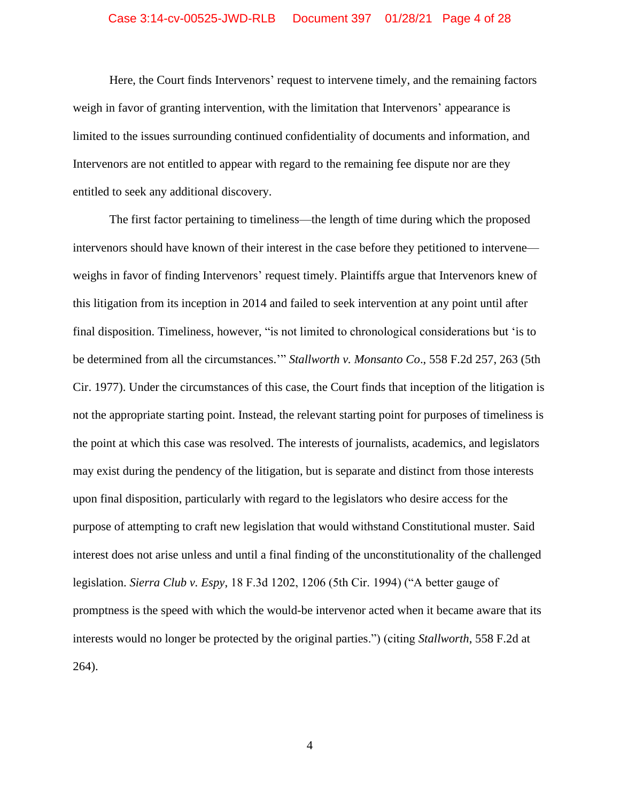# Case 3:14-cv-00525-JWD-RLB Document 397 01/28/21 Page 4 of 28

Here, the Court finds Intervenors' request to intervene timely, and the remaining factors weigh in favor of granting intervention, with the limitation that Intervenors' appearance is limited to the issues surrounding continued confidentiality of documents and information, and Intervenors are not entitled to appear with regard to the remaining fee dispute nor are they entitled to seek any additional discovery.

The first factor pertaining to timeliness—the length of time during which the proposed intervenors should have known of their interest in the case before they petitioned to intervene weighs in favor of finding Intervenors' request timely. Plaintiffs argue that Intervenors knew of this litigation from its inception in 2014 and failed to seek intervention at any point until after final disposition. Timeliness, however, "is not limited to chronological considerations but 'is to be determined from all the circumstances.'" *Stallworth v. Monsanto Co*., 558 F.2d 257, 263 (5th Cir. 1977). Under the circumstances of this case, the Court finds that inception of the litigation is not the appropriate starting point. Instead, the relevant starting point for purposes of timeliness is the point at which this case was resolved. The interests of journalists, academics, and legislators may exist during the pendency of the litigation, but is separate and distinct from those interests upon final disposition, particularly with regard to the legislators who desire access for the purpose of attempting to craft new legislation that would withstand Constitutional muster. Said interest does not arise unless and until a final finding of the unconstitutionality of the challenged legislation. *Sierra Club v. Espy*, 18 F.3d 1202, 1206 (5th Cir. 1994) ("A better gauge of promptness is the speed with which the would-be intervenor acted when it became aware that its interests would no longer be protected by the original parties.") (citing *Stallworth*, 558 F.2d at 264).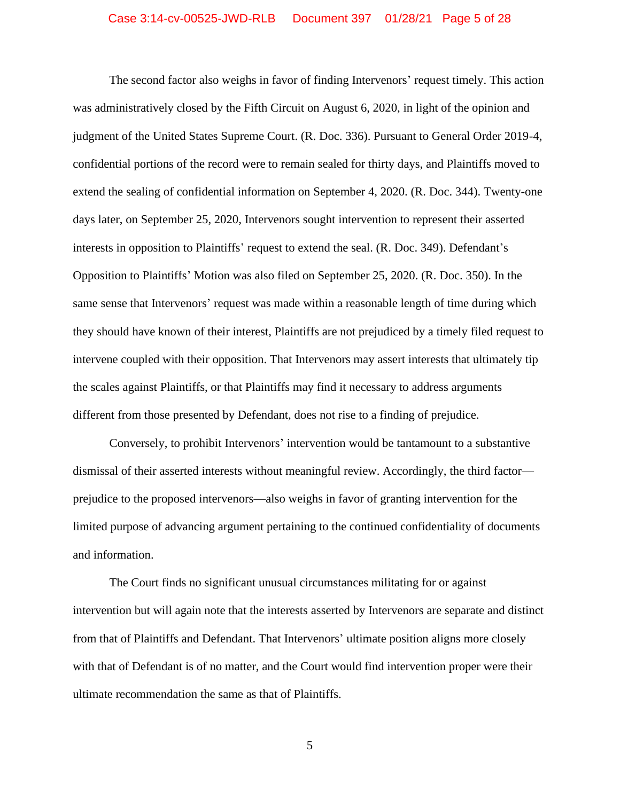# Case 3:14-cv-00525-JWD-RLB Document 397 01/28/21 Page 5 of 28

The second factor also weighs in favor of finding Intervenors' request timely. This action was administratively closed by the Fifth Circuit on August 6, 2020, in light of the opinion and judgment of the United States Supreme Court. (R. Doc. 336). Pursuant to General Order 2019-4, confidential portions of the record were to remain sealed for thirty days, and Plaintiffs moved to extend the sealing of confidential information on September 4, 2020. (R. Doc. 344). Twenty-one days later, on September 25, 2020, Intervenors sought intervention to represent their asserted interests in opposition to Plaintiffs' request to extend the seal. (R. Doc. 349). Defendant's Opposition to Plaintiffs' Motion was also filed on September 25, 2020. (R. Doc. 350). In the same sense that Intervenors' request was made within a reasonable length of time during which they should have known of their interest, Plaintiffs are not prejudiced by a timely filed request to intervene coupled with their opposition. That Intervenors may assert interests that ultimately tip the scales against Plaintiffs, or that Plaintiffs may find it necessary to address arguments different from those presented by Defendant, does not rise to a finding of prejudice.

Conversely, to prohibit Intervenors' intervention would be tantamount to a substantive dismissal of their asserted interests without meaningful review. Accordingly, the third factor prejudice to the proposed intervenors—also weighs in favor of granting intervention for the limited purpose of advancing argument pertaining to the continued confidentiality of documents and information.

The Court finds no significant unusual circumstances militating for or against intervention but will again note that the interests asserted by Intervenors are separate and distinct from that of Plaintiffs and Defendant. That Intervenors' ultimate position aligns more closely with that of Defendant is of no matter, and the Court would find intervention proper were their ultimate recommendation the same as that of Plaintiffs.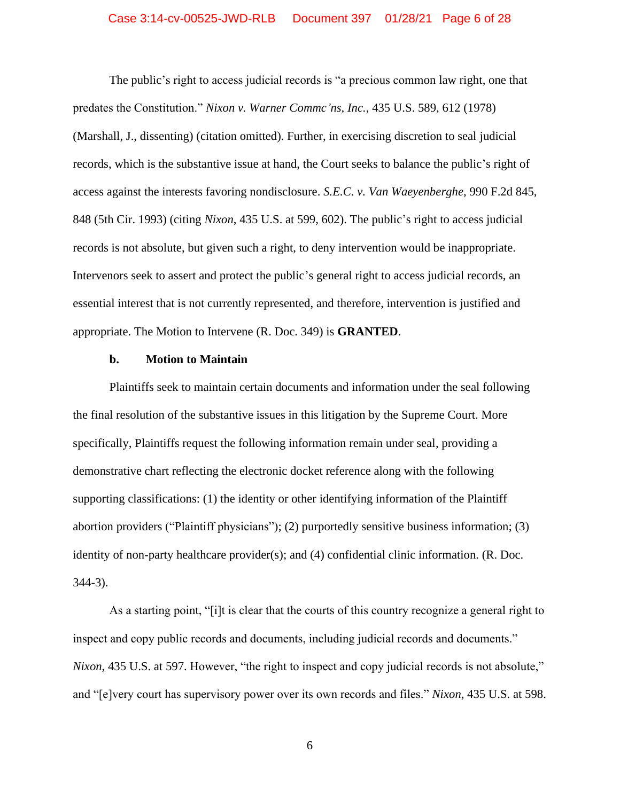# Case 3:14-cv-00525-JWD-RLB Document 397 01/28/21 Page 6 of 28

The public's right to access judicial records is "a precious common law right, one that predates the Constitution." *Nixon v. Warner Commc'ns, Inc.*, 435 U.S. 589, 612 (1978) (Marshall, J., dissenting) (citation omitted). Further, in exercising discretion to seal judicial records, which is the substantive issue at hand, the Court seeks to balance the public's right of access against the interests favoring nondisclosure. *S.E.C. v. Van Waeyenberghe*, 990 F.2d 845, 848 (5th Cir. 1993) (citing *Nixon*, 435 U.S. at 599, 602). The public's right to access judicial records is not absolute, but given such a right, to deny intervention would be inappropriate. Intervenors seek to assert and protect the public's general right to access judicial records, an essential interest that is not currently represented, and therefore, intervention is justified and appropriate. The Motion to Intervene (R. Doc. 349) is **GRANTED**.

#### **b. Motion to Maintain**

Plaintiffs seek to maintain certain documents and information under the seal following the final resolution of the substantive issues in this litigation by the Supreme Court. More specifically, Plaintiffs request the following information remain under seal, providing a demonstrative chart reflecting the electronic docket reference along with the following supporting classifications: (1) the identity or other identifying information of the Plaintiff abortion providers ("Plaintiff physicians"); (2) purportedly sensitive business information; (3) identity of non-party healthcare provider(s); and (4) confidential clinic information. (R. Doc. 344-3).

As a starting point, "[i]t is clear that the courts of this country recognize a general right to inspect and copy public records and documents, including judicial records and documents." *Nixon*, 435 U.S. at 597. However, "the right to inspect and copy judicial records is not absolute," and "[e]very court has supervisory power over its own records and files." *Nixon*, 435 U.S. at 598.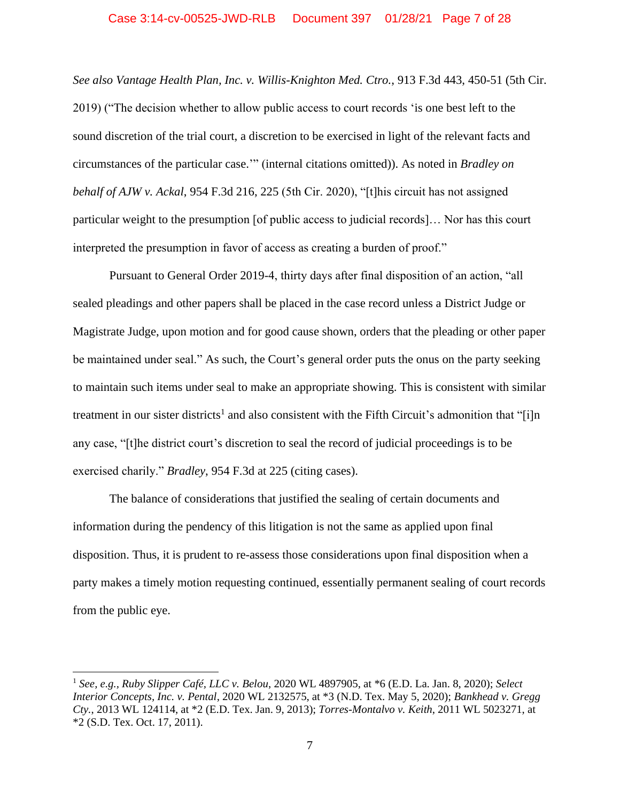# Case 3:14-cv-00525-JWD-RLB Document 397 01/28/21 Page 7 of 28

*See also Vantage Health Plan, Inc. v. Willis-Knighton Med. Ctro.*, 913 F.3d 443, 450-51 (5th Cir. 2019) ("The decision whether to allow public access to court records 'is one best left to the sound discretion of the trial court, a discretion to be exercised in light of the relevant facts and circumstances of the particular case.'" (internal citations omitted)). As noted in *Bradley on behalf of AJW v. Ackal*, 954 F.3d 216, 225 (5th Cir. 2020), "[t]his circuit has not assigned particular weight to the presumption [of public access to judicial records]… Nor has this court interpreted the presumption in favor of access as creating a burden of proof."

Pursuant to General Order 2019-4, thirty days after final disposition of an action, "all sealed pleadings and other papers shall be placed in the case record unless a District Judge or Magistrate Judge, upon motion and for good cause shown, orders that the pleading or other paper be maintained under seal." As such, the Court's general order puts the onus on the party seeking to maintain such items under seal to make an appropriate showing. This is consistent with similar treatment in our sister districts<sup>1</sup> and also consistent with the Fifth Circuit's admonition that "[i]n any case, "[t]he district court's discretion to seal the record of judicial proceedings is to be exercised charily." *Bradley*, 954 F.3d at 225 (citing cases).

The balance of considerations that justified the sealing of certain documents and information during the pendency of this litigation is not the same as applied upon final disposition. Thus, it is prudent to re-assess those considerations upon final disposition when a party makes a timely motion requesting continued, essentially permanent sealing of court records from the public eye.

<sup>1</sup> *See, e.g., Ruby Slipper Café, LLC v. Belou*, 2020 WL 4897905, at \*6 (E.D. La. Jan. 8, 2020); *Select Interior Concepts, Inc. v. Pental*, 2020 WL 2132575, at \*3 (N.D. Tex. May 5, 2020); *Bankhead v. Gregg Cty.*, 2013 WL 124114, at \*2 (E.D. Tex. Jan. 9, 2013); *Torres-Montalvo v. Keith*, 2011 WL 5023271, at \*2 (S.D. Tex. Oct. 17, 2011).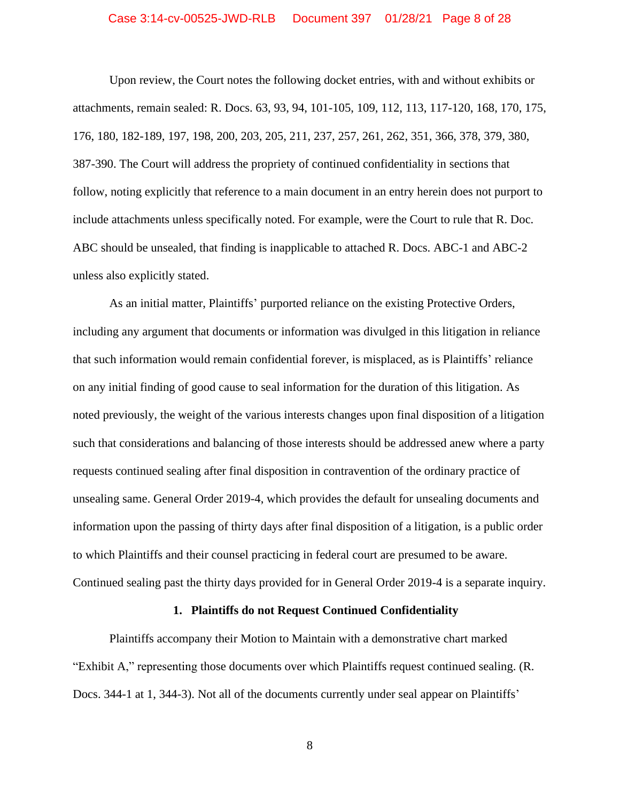# Case 3:14-cv-00525-JWD-RLB Document 397 01/28/21 Page 8 of 28

Upon review, the Court notes the following docket entries, with and without exhibits or attachments, remain sealed: R. Docs. 63, 93, 94, 101-105, 109, 112, 113, 117-120, 168, 170, 175, 176, 180, 182-189, 197, 198, 200, 203, 205, 211, 237, 257, 261, 262, 351, 366, 378, 379, 380, 387-390. The Court will address the propriety of continued confidentiality in sections that follow, noting explicitly that reference to a main document in an entry herein does not purport to include attachments unless specifically noted. For example, were the Court to rule that R. Doc. ABC should be unsealed, that finding is inapplicable to attached R. Docs. ABC-1 and ABC-2 unless also explicitly stated.

As an initial matter, Plaintiffs' purported reliance on the existing Protective Orders, including any argument that documents or information was divulged in this litigation in reliance that such information would remain confidential forever, is misplaced, as is Plaintiffs' reliance on any initial finding of good cause to seal information for the duration of this litigation. As noted previously, the weight of the various interests changes upon final disposition of a litigation such that considerations and balancing of those interests should be addressed anew where a party requests continued sealing after final disposition in contravention of the ordinary practice of unsealing same. General Order 2019-4, which provides the default for unsealing documents and information upon the passing of thirty days after final disposition of a litigation, is a public order to which Plaintiffs and their counsel practicing in federal court are presumed to be aware. Continued sealing past the thirty days provided for in General Order 2019-4 is a separate inquiry.

# **1. Plaintiffs do not Request Continued Confidentiality**

Plaintiffs accompany their Motion to Maintain with a demonstrative chart marked "Exhibit A," representing those documents over which Plaintiffs request continued sealing. (R. Docs. 344-1 at 1, 344-3). Not all of the documents currently under seal appear on Plaintiffs'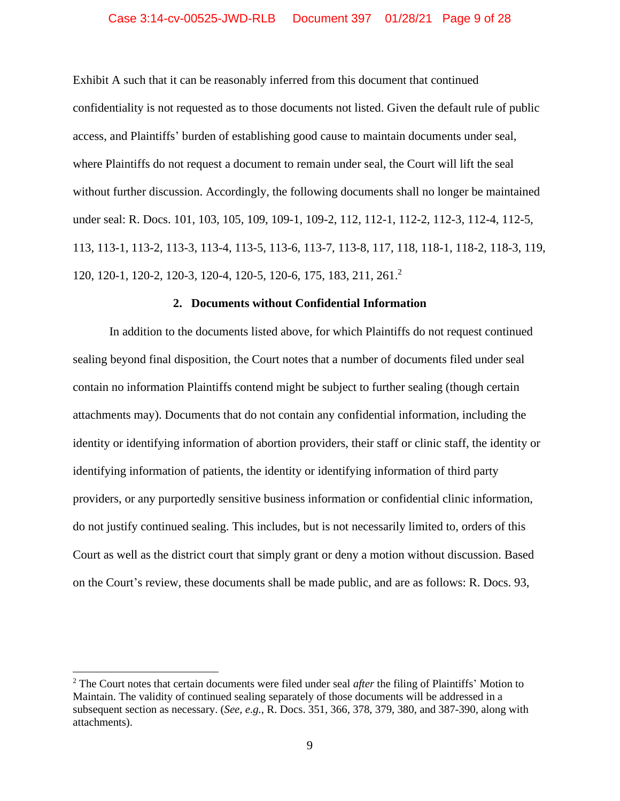# Case 3:14-cv-00525-JWD-RLB Document 397 01/28/21 Page 9 of 28

Exhibit A such that it can be reasonably inferred from this document that continued confidentiality is not requested as to those documents not listed. Given the default rule of public access, and Plaintiffs' burden of establishing good cause to maintain documents under seal, where Plaintiffs do not request a document to remain under seal, the Court will lift the seal without further discussion. Accordingly, the following documents shall no longer be maintained under seal: R. Docs. 101, 103, 105, 109, 109-1, 109-2, 112, 112-1, 112-2, 112-3, 112-4, 112-5, 113, 113-1, 113-2, 113-3, 113-4, 113-5, 113-6, 113-7, 113-8, 117, 118, 118-1, 118-2, 118-3, 119, 120, 120-1, 120-2, 120-3, 120-4, 120-5, 120-6, 175, 183, 211, 261. 2

# **2. Documents without Confidential Information**

In addition to the documents listed above, for which Plaintiffs do not request continued sealing beyond final disposition, the Court notes that a number of documents filed under seal contain no information Plaintiffs contend might be subject to further sealing (though certain attachments may). Documents that do not contain any confidential information, including the identity or identifying information of abortion providers, their staff or clinic staff, the identity or identifying information of patients, the identity or identifying information of third party providers, or any purportedly sensitive business information or confidential clinic information, do not justify continued sealing. This includes, but is not necessarily limited to, orders of this Court as well as the district court that simply grant or deny a motion without discussion. Based on the Court's review, these documents shall be made public, and are as follows: R. Docs. 93,

<sup>2</sup> The Court notes that certain documents were filed under seal *after* the filing of Plaintiffs' Motion to Maintain. The validity of continued sealing separately of those documents will be addressed in a subsequent section as necessary. (*See, e.g.*, R. Docs. 351, 366, 378, 379, 380, and 387-390, along with attachments).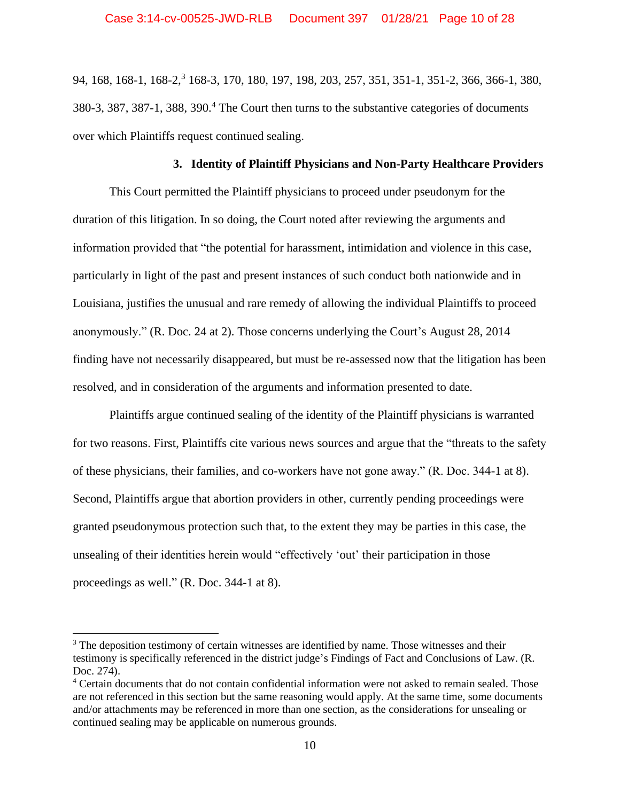94, 168, 168-1, 168-2,<sup>3</sup> 168-3, 170, 180, 197, 198, 203, 257, 351, 351-1, 351-2, 366, 366-1, 380, 380-3, 387, 387-1, 388, 390.<sup>4</sup> The Court then turns to the substantive categories of documents over which Plaintiffs request continued sealing.

# **3. Identity of Plaintiff Physicians and Non-Party Healthcare Providers**

This Court permitted the Plaintiff physicians to proceed under pseudonym for the duration of this litigation. In so doing, the Court noted after reviewing the arguments and information provided that "the potential for harassment, intimidation and violence in this case, particularly in light of the past and present instances of such conduct both nationwide and in Louisiana, justifies the unusual and rare remedy of allowing the individual Plaintiffs to proceed anonymously." (R. Doc. 24 at 2). Those concerns underlying the Court's August 28, 2014 finding have not necessarily disappeared, but must be re-assessed now that the litigation has been resolved, and in consideration of the arguments and information presented to date.

Plaintiffs argue continued sealing of the identity of the Plaintiff physicians is warranted for two reasons. First, Plaintiffs cite various news sources and argue that the "threats to the safety of these physicians, their families, and co-workers have not gone away." (R. Doc. 344-1 at 8). Second, Plaintiffs argue that abortion providers in other, currently pending proceedings were granted pseudonymous protection such that, to the extent they may be parties in this case, the unsealing of their identities herein would "effectively 'out' their participation in those proceedings as well." (R. Doc. 344-1 at 8).

<sup>&</sup>lt;sup>3</sup> The deposition testimony of certain witnesses are identified by name. Those witnesses and their testimony is specifically referenced in the district judge's Findings of Fact and Conclusions of Law. (R. Doc. 274).

<sup>4</sup> Certain documents that do not contain confidential information were not asked to remain sealed. Those are not referenced in this section but the same reasoning would apply. At the same time, some documents and/or attachments may be referenced in more than one section, as the considerations for unsealing or continued sealing may be applicable on numerous grounds.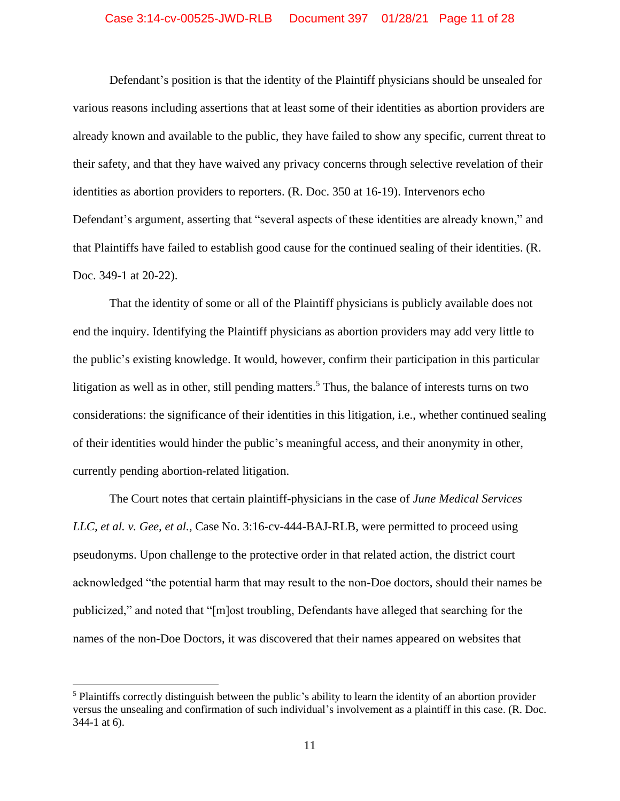# Case 3:14-cv-00525-JWD-RLB Document 397 01/28/21 Page 11 of 28

Defendant's position is that the identity of the Plaintiff physicians should be unsealed for various reasons including assertions that at least some of their identities as abortion providers are already known and available to the public, they have failed to show any specific, current threat to their safety, and that they have waived any privacy concerns through selective revelation of their identities as abortion providers to reporters. (R. Doc. 350 at 16-19). Intervenors echo Defendant's argument, asserting that "several aspects of these identities are already known," and that Plaintiffs have failed to establish good cause for the continued sealing of their identities. (R. Doc. 349-1 at 20-22).

That the identity of some or all of the Plaintiff physicians is publicly available does not end the inquiry. Identifying the Plaintiff physicians as abortion providers may add very little to the public's existing knowledge. It would, however, confirm their participation in this particular litigation as well as in other, still pending matters.<sup>5</sup> Thus, the balance of interests turns on two considerations: the significance of their identities in this litigation, i.e., whether continued sealing of their identities would hinder the public's meaningful access, and their anonymity in other, currently pending abortion-related litigation.

The Court notes that certain plaintiff-physicians in the case of *June Medical Services LLC, et al. v. Gee, et al.*, Case No. 3:16-cv-444-BAJ-RLB, were permitted to proceed using pseudonyms. Upon challenge to the protective order in that related action, the district court acknowledged "the potential harm that may result to the non-Doe doctors, should their names be publicized," and noted that "[m]ost troubling, Defendants have alleged that searching for the names of the non-Doe Doctors, it was discovered that their names appeared on websites that

<sup>5</sup> Plaintiffs correctly distinguish between the public's ability to learn the identity of an abortion provider versus the unsealing and confirmation of such individual's involvement as a plaintiff in this case. (R. Doc. 344-1 at 6).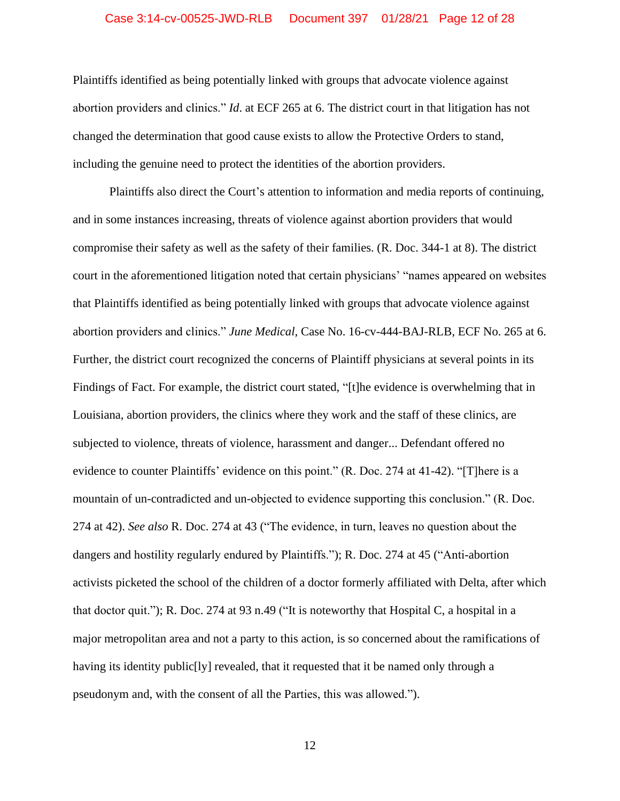# Case 3:14-cv-00525-JWD-RLB Document 397 01/28/21 Page 12 of 28

Plaintiffs identified as being potentially linked with groups that advocate violence against abortion providers and clinics." *Id*. at ECF 265 at 6. The district court in that litigation has not changed the determination that good cause exists to allow the Protective Orders to stand, including the genuine need to protect the identities of the abortion providers.

Plaintiffs also direct the Court's attention to information and media reports of continuing, and in some instances increasing, threats of violence against abortion providers that would compromise their safety as well as the safety of their families. (R. Doc. 344-1 at 8). The district court in the aforementioned litigation noted that certain physicians' "names appeared on websites that Plaintiffs identified as being potentially linked with groups that advocate violence against abortion providers and clinics." *June Medical*, Case No. 16-cv-444-BAJ-RLB, ECF No. 265 at 6. Further, the district court recognized the concerns of Plaintiff physicians at several points in its Findings of Fact. For example, the district court stated, "[t]he evidence is overwhelming that in Louisiana, abortion providers, the clinics where they work and the staff of these clinics, are subjected to violence, threats of violence, harassment and danger... Defendant offered no evidence to counter Plaintiffs' evidence on this point." (R. Doc. 274 at 41-42). "[T]here is a mountain of un-contradicted and un-objected to evidence supporting this conclusion." (R. Doc. 274 at 42). *See also* R. Doc. 274 at 43 ("The evidence, in turn, leaves no question about the dangers and hostility regularly endured by Plaintiffs."); R. Doc. 274 at 45 ("Anti-abortion activists picketed the school of the children of a doctor formerly affiliated with Delta, after which that doctor quit."); R. Doc. 274 at 93 n.49 ("It is noteworthy that Hospital C, a hospital in a major metropolitan area and not a party to this action, is so concerned about the ramifications of having its identity public[ly] revealed, that it requested that it be named only through a pseudonym and, with the consent of all the Parties, this was allowed.").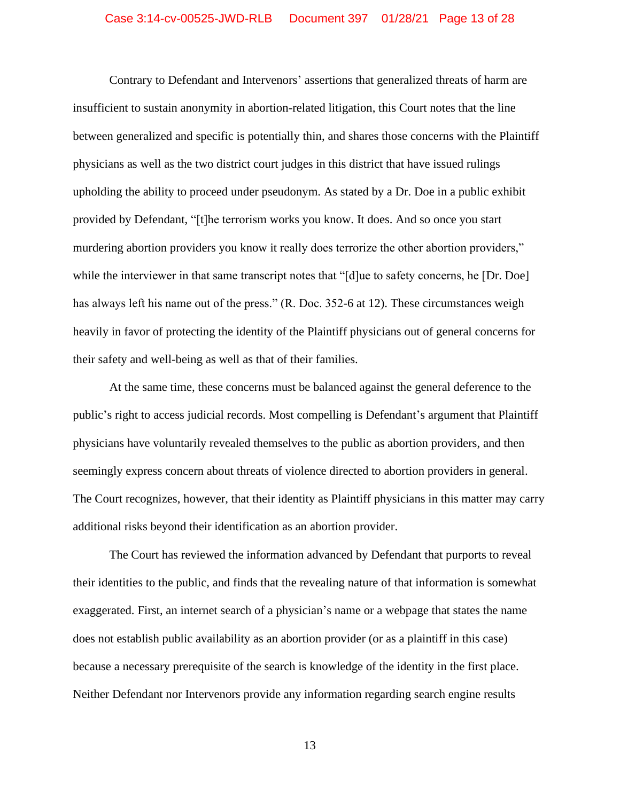## Case 3:14-cv-00525-JWD-RLB Document 397 01/28/21 Page 13 of 28

Contrary to Defendant and Intervenors' assertions that generalized threats of harm are insufficient to sustain anonymity in abortion-related litigation, this Court notes that the line between generalized and specific is potentially thin, and shares those concerns with the Plaintiff physicians as well as the two district court judges in this district that have issued rulings upholding the ability to proceed under pseudonym. As stated by a Dr. Doe in a public exhibit provided by Defendant, "[t]he terrorism works you know. It does. And so once you start murdering abortion providers you know it really does terrorize the other abortion providers," while the interviewer in that same transcript notes that "[d]ue to safety concerns, he [Dr. Doe] has always left his name out of the press." (R. Doc. 352-6 at 12). These circumstances weigh heavily in favor of protecting the identity of the Plaintiff physicians out of general concerns for their safety and well-being as well as that of their families.

At the same time, these concerns must be balanced against the general deference to the public's right to access judicial records. Most compelling is Defendant's argument that Plaintiff physicians have voluntarily revealed themselves to the public as abortion providers, and then seemingly express concern about threats of violence directed to abortion providers in general. The Court recognizes, however, that their identity as Plaintiff physicians in this matter may carry additional risks beyond their identification as an abortion provider.

The Court has reviewed the information advanced by Defendant that purports to reveal their identities to the public, and finds that the revealing nature of that information is somewhat exaggerated. First, an internet search of a physician's name or a webpage that states the name does not establish public availability as an abortion provider (or as a plaintiff in this case) because a necessary prerequisite of the search is knowledge of the identity in the first place. Neither Defendant nor Intervenors provide any information regarding search engine results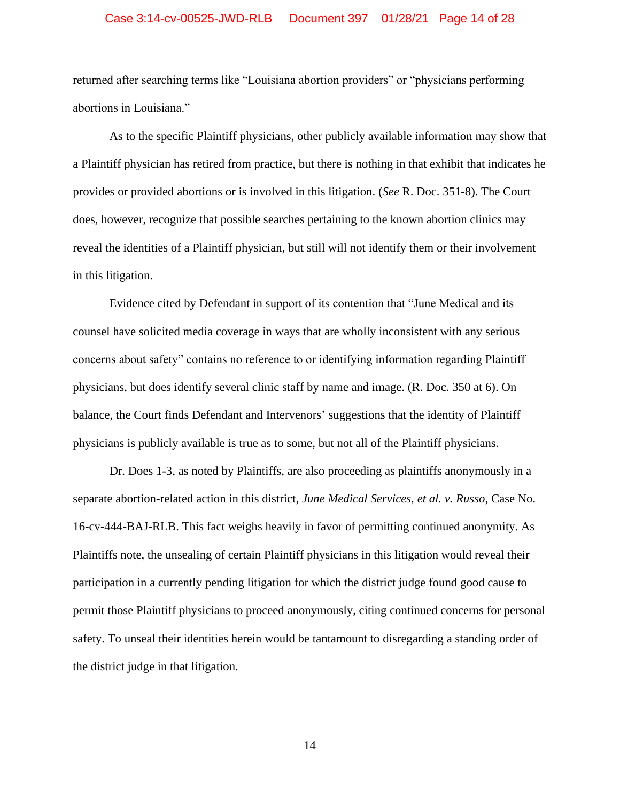# Case 3:14-cv-00525-JWD-RLB Document 397 01/28/21 Page 14 of 28

returned after searching terms like "Louisiana abortion providers" or "physicians performing abortions in Louisiana."

As to the specific Plaintiff physicians, other publicly available information may show that a Plaintiff physician has retired from practice, but there is nothing in that exhibit that indicates he provides or provided abortions or is involved in this litigation. (*See* R. Doc. 351-8). The Court does, however, recognize that possible searches pertaining to the known abortion clinics may reveal the identities of a Plaintiff physician, but still will not identify them or their involvement in this litigation.

Evidence cited by Defendant in support of its contention that "June Medical and its counsel have solicited media coverage in ways that are wholly inconsistent with any serious concerns about safety" contains no reference to or identifying information regarding Plaintiff physicians, but does identify several clinic staff by name and image. (R. Doc. 350 at 6). On balance, the Court finds Defendant and Intervenors' suggestions that the identity of Plaintiff physicians is publicly available is true as to some, but not all of the Plaintiff physicians.

Dr. Does 1-3, as noted by Plaintiffs, are also proceeding as plaintiffs anonymously in a separate abortion-related action in this district, *June Medical Services, et al. v. Russo*, Case No. 16-cv-444-BAJ-RLB. This fact weighs heavily in favor of permitting continued anonymity. As Plaintiffs note, the unsealing of certain Plaintiff physicians in this litigation would reveal their participation in a currently pending litigation for which the district judge found good cause to permit those Plaintiff physicians to proceed anonymously, citing continued concerns for personal safety. To unseal their identities herein would be tantamount to disregarding a standing order of the district judge in that litigation.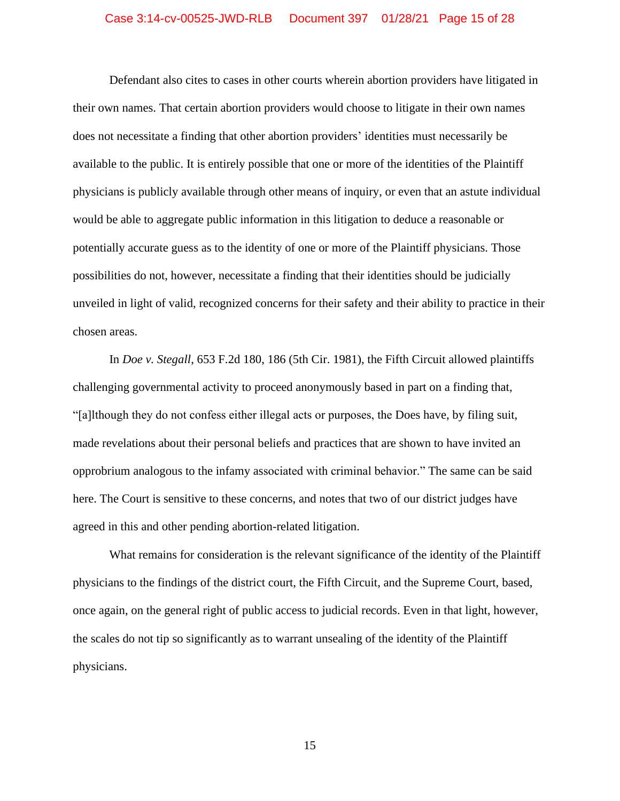## Case 3:14-cv-00525-JWD-RLB Document 397 01/28/21 Page 15 of 28

Defendant also cites to cases in other courts wherein abortion providers have litigated in their own names. That certain abortion providers would choose to litigate in their own names does not necessitate a finding that other abortion providers' identities must necessarily be available to the public. It is entirely possible that one or more of the identities of the Plaintiff physicians is publicly available through other means of inquiry, or even that an astute individual would be able to aggregate public information in this litigation to deduce a reasonable or potentially accurate guess as to the identity of one or more of the Plaintiff physicians. Those possibilities do not, however, necessitate a finding that their identities should be judicially unveiled in light of valid, recognized concerns for their safety and their ability to practice in their chosen areas.

In *Doe v. Stegall*, 653 F.2d 180, 186 (5th Cir. 1981), the Fifth Circuit allowed plaintiffs challenging governmental activity to proceed anonymously based in part on a finding that, "[a]lthough they do not confess either illegal acts or purposes, the Does have, by filing suit, made revelations about their personal beliefs and practices that are shown to have invited an opprobrium analogous to the infamy associated with criminal behavior." The same can be said here. The Court is sensitive to these concerns, and notes that two of our district judges have agreed in this and other pending abortion-related litigation.

What remains for consideration is the relevant significance of the identity of the Plaintiff physicians to the findings of the district court, the Fifth Circuit, and the Supreme Court, based, once again, on the general right of public access to judicial records. Even in that light, however, the scales do not tip so significantly as to warrant unsealing of the identity of the Plaintiff physicians.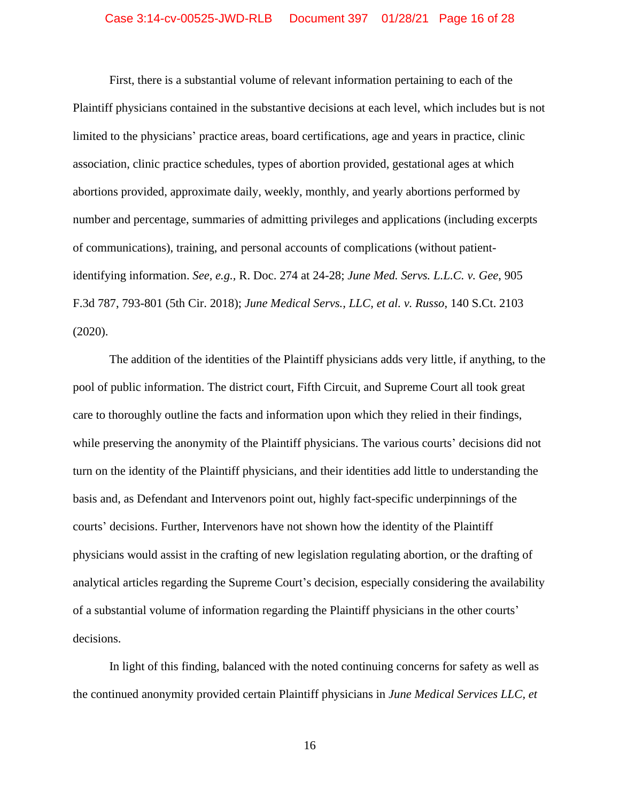# Case 3:14-cv-00525-JWD-RLB Document 397 01/28/21 Page 16 of 28

First, there is a substantial volume of relevant information pertaining to each of the Plaintiff physicians contained in the substantive decisions at each level, which includes but is not limited to the physicians' practice areas, board certifications, age and years in practice, clinic association, clinic practice schedules, types of abortion provided, gestational ages at which abortions provided, approximate daily, weekly, monthly, and yearly abortions performed by number and percentage, summaries of admitting privileges and applications (including excerpts of communications), training, and personal accounts of complications (without patientidentifying information. *See, e.g.,* R. Doc. 274 at 24-28; *June Med. Servs. L.L.C. v. Gee*, 905 F.3d 787, 793-801 (5th Cir. 2018); *June Medical Servs., LLC, et al. v. Russo*, 140 S.Ct. 2103 (2020).

The addition of the identities of the Plaintiff physicians adds very little, if anything, to the pool of public information. The district court, Fifth Circuit, and Supreme Court all took great care to thoroughly outline the facts and information upon which they relied in their findings, while preserving the anonymity of the Plaintiff physicians. The various courts' decisions did not turn on the identity of the Plaintiff physicians, and their identities add little to understanding the basis and, as Defendant and Intervenors point out, highly fact-specific underpinnings of the courts' decisions. Further, Intervenors have not shown how the identity of the Plaintiff physicians would assist in the crafting of new legislation regulating abortion, or the drafting of analytical articles regarding the Supreme Court's decision, especially considering the availability of a substantial volume of information regarding the Plaintiff physicians in the other courts' decisions.

In light of this finding, balanced with the noted continuing concerns for safety as well as the continued anonymity provided certain Plaintiff physicians in *June Medical Services LLC, et*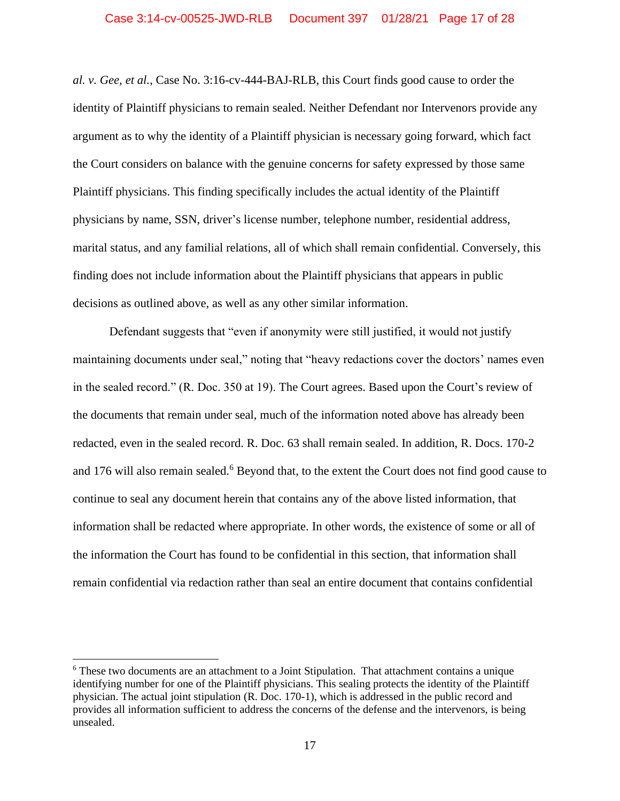*al. v. Gee, et al.*, Case No. 3:16-cv-444-BAJ-RLB, this Court finds good cause to order the identity of Plaintiff physicians to remain sealed. Neither Defendant nor Intervenors provide any argument as to why the identity of a Plaintiff physician is necessary going forward, which fact the Court considers on balance with the genuine concerns for safety expressed by those same Plaintiff physicians. This finding specifically includes the actual identity of the Plaintiff physicians by name, SSN, driver's license number, telephone number, residential address, marital status, and any familial relations, all of which shall remain confidential. Conversely, this finding does not include information about the Plaintiff physicians that appears in public decisions as outlined above, as well as any other similar information.

Defendant suggests that "even if anonymity were still justified, it would not justify maintaining documents under seal," noting that "heavy redactions cover the doctors' names even in the sealed record." (R. Doc. 350 at 19). The Court agrees. Based upon the Court's review of the documents that remain under seal, much of the information noted above has already been redacted, even in the sealed record. R. Doc. 63 shall remain sealed. In addition, R. Docs. 170-2 and 176 will also remain sealed.<sup>6</sup> Beyond that, to the extent the Court does not find good cause to continue to seal any document herein that contains any of the above listed information, that information shall be redacted where appropriate. In other words, the existence of some or all of the information the Court has found to be confidential in this section, that information shall remain confidential via redaction rather than seal an entire document that contains confidential

<sup>6</sup> These two documents are an attachment to a Joint Stipulation. That attachment contains a unique identifying number for one of the Plaintiff physicians. This sealing protects the identity of the Plaintiff physician. The actual joint stipulation (R. Doc. 170-1), which is addressed in the public record and provides all information sufficient to address the concerns of the defense and the intervenors, is being unsealed.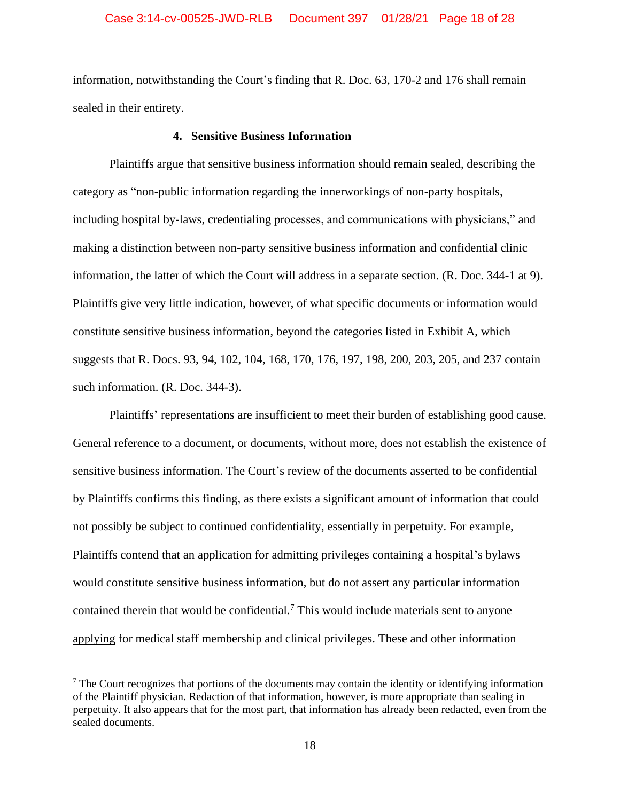# Case 3:14-cv-00525-JWD-RLB Document 397 01/28/21 Page 18 of 28

information, notwithstanding the Court's finding that R. Doc. 63, 170-2 and 176 shall remain sealed in their entirety.

#### **4. Sensitive Business Information**

Plaintiffs argue that sensitive business information should remain sealed, describing the category as "non-public information regarding the innerworkings of non-party hospitals, including hospital by-laws, credentialing processes, and communications with physicians," and making a distinction between non-party sensitive business information and confidential clinic information, the latter of which the Court will address in a separate section. (R. Doc. 344-1 at 9). Plaintiffs give very little indication, however, of what specific documents or information would constitute sensitive business information, beyond the categories listed in Exhibit A, which suggests that R. Docs. 93, 94, 102, 104, 168, 170, 176, 197, 198, 200, 203, 205, and 237 contain such information. (R. Doc. 344-3).

Plaintiffs' representations are insufficient to meet their burden of establishing good cause. General reference to a document, or documents, without more, does not establish the existence of sensitive business information. The Court's review of the documents asserted to be confidential by Plaintiffs confirms this finding, as there exists a significant amount of information that could not possibly be subject to continued confidentiality, essentially in perpetuity. For example, Plaintiffs contend that an application for admitting privileges containing a hospital's bylaws would constitute sensitive business information, but do not assert any particular information contained therein that would be confidential.<sup>7</sup> This would include materials sent to anyone applying for medical staff membership and clinical privileges. These and other information

<sup>7</sup> The Court recognizes that portions of the documents may contain the identity or identifying information of the Plaintiff physician. Redaction of that information, however, is more appropriate than sealing in perpetuity. It also appears that for the most part, that information has already been redacted, even from the sealed documents.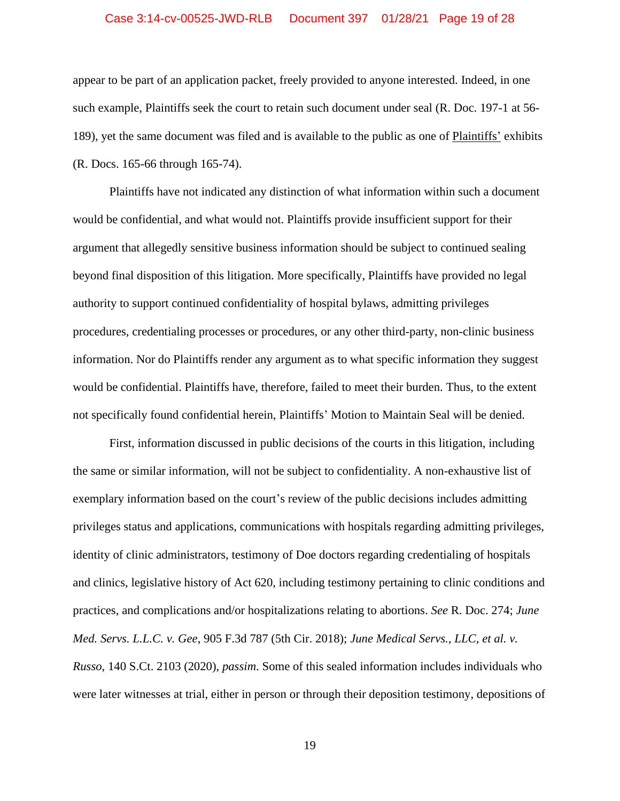# Case 3:14-cv-00525-JWD-RLB Document 397 01/28/21 Page 19 of 28

appear to be part of an application packet, freely provided to anyone interested. Indeed, in one such example, Plaintiffs seek the court to retain such document under seal (R. Doc. 197-1 at 56- 189), yet the same document was filed and is available to the public as one of Plaintiffs' exhibits (R. Docs. 165-66 through 165-74).

Plaintiffs have not indicated any distinction of what information within such a document would be confidential, and what would not. Plaintiffs provide insufficient support for their argument that allegedly sensitive business information should be subject to continued sealing beyond final disposition of this litigation. More specifically, Plaintiffs have provided no legal authority to support continued confidentiality of hospital bylaws, admitting privileges procedures, credentialing processes or procedures, or any other third-party, non-clinic business information. Nor do Plaintiffs render any argument as to what specific information they suggest would be confidential. Plaintiffs have, therefore, failed to meet their burden. Thus, to the extent not specifically found confidential herein, Plaintiffs' Motion to Maintain Seal will be denied.

First, information discussed in public decisions of the courts in this litigation, including the same or similar information, will not be subject to confidentiality. A non-exhaustive list of exemplary information based on the court's review of the public decisions includes admitting privileges status and applications, communications with hospitals regarding admitting privileges, identity of clinic administrators, testimony of Doe doctors regarding credentialing of hospitals and clinics, legislative history of Act 620, including testimony pertaining to clinic conditions and practices, and complications and/or hospitalizations relating to abortions. *See* R. Doc. 274; *June Med. Servs. L.L.C. v. Gee*, 905 F.3d 787 (5th Cir. 2018); *June Medical Servs., LLC, et al. v. Russo*, 140 S.Ct. 2103 (2020), *passim*. Some of this sealed information includes individuals who were later witnesses at trial, either in person or through their deposition testimony, depositions of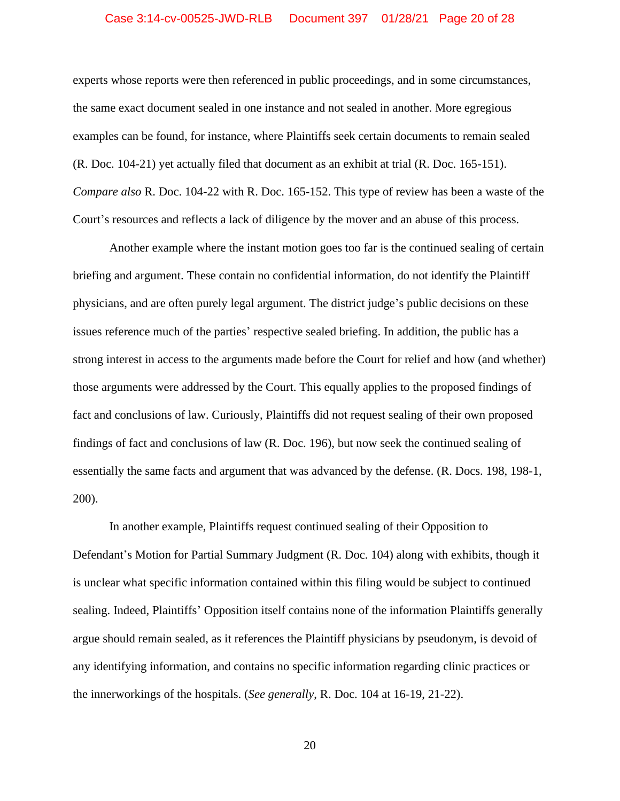# Case 3:14-cv-00525-JWD-RLB Document 397 01/28/21 Page 20 of 28

experts whose reports were then referenced in public proceedings, and in some circumstances, the same exact document sealed in one instance and not sealed in another. More egregious examples can be found, for instance, where Plaintiffs seek certain documents to remain sealed (R. Doc. 104-21) yet actually filed that document as an exhibit at trial (R. Doc. 165-151). *Compare also* R. Doc. 104-22 with R. Doc. 165-152. This type of review has been a waste of the Court's resources and reflects a lack of diligence by the mover and an abuse of this process.

Another example where the instant motion goes too far is the continued sealing of certain briefing and argument. These contain no confidential information, do not identify the Plaintiff physicians, and are often purely legal argument. The district judge's public decisions on these issues reference much of the parties' respective sealed briefing. In addition, the public has a strong interest in access to the arguments made before the Court for relief and how (and whether) those arguments were addressed by the Court. This equally applies to the proposed findings of fact and conclusions of law. Curiously, Plaintiffs did not request sealing of their own proposed findings of fact and conclusions of law (R. Doc. 196), but now seek the continued sealing of essentially the same facts and argument that was advanced by the defense. (R. Docs. 198, 198-1, 200).

In another example, Plaintiffs request continued sealing of their Opposition to Defendant's Motion for Partial Summary Judgment (R. Doc. 104) along with exhibits, though it is unclear what specific information contained within this filing would be subject to continued sealing. Indeed, Plaintiffs' Opposition itself contains none of the information Plaintiffs generally argue should remain sealed, as it references the Plaintiff physicians by pseudonym, is devoid of any identifying information, and contains no specific information regarding clinic practices or the innerworkings of the hospitals. (*See generally*, R. Doc. 104 at 16-19, 21-22).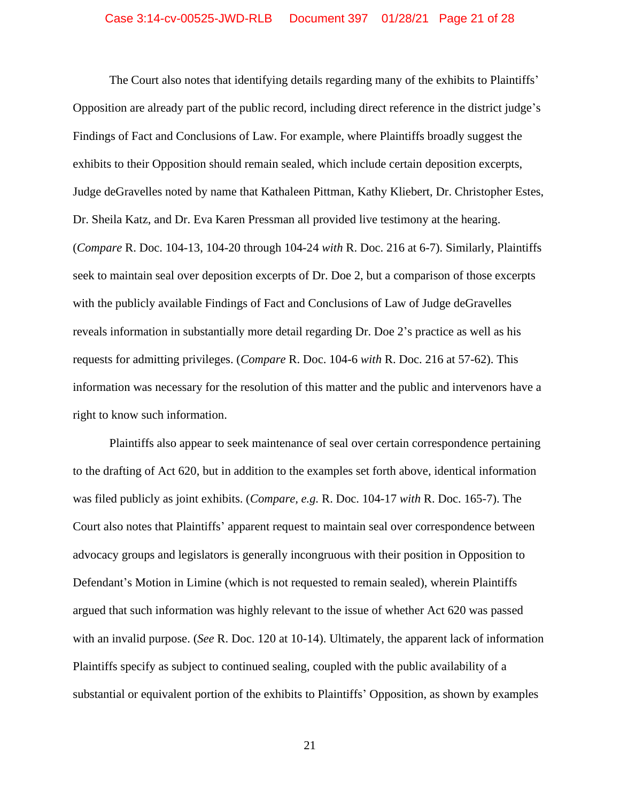## Case 3:14-cv-00525-JWD-RLB Document 397 01/28/21 Page 21 of 28

The Court also notes that identifying details regarding many of the exhibits to Plaintiffs' Opposition are already part of the public record, including direct reference in the district judge's Findings of Fact and Conclusions of Law. For example, where Plaintiffs broadly suggest the exhibits to their Opposition should remain sealed, which include certain deposition excerpts, Judge deGravelles noted by name that Kathaleen Pittman, Kathy Kliebert, Dr. Christopher Estes, Dr. Sheila Katz, and Dr. Eva Karen Pressman all provided live testimony at the hearing. (*Compare* R. Doc. 104-13, 104-20 through 104-24 *with* R. Doc. 216 at 6-7). Similarly, Plaintiffs seek to maintain seal over deposition excerpts of Dr. Doe 2, but a comparison of those excerpts with the publicly available Findings of Fact and Conclusions of Law of Judge deGravelles reveals information in substantially more detail regarding Dr. Doe 2's practice as well as his requests for admitting privileges. (*Compare* R. Doc. 104-6 *with* R. Doc. 216 at 57-62). This information was necessary for the resolution of this matter and the public and intervenors have a right to know such information.

Plaintiffs also appear to seek maintenance of seal over certain correspondence pertaining to the drafting of Act 620, but in addition to the examples set forth above, identical information was filed publicly as joint exhibits. (*Compare, e.g.* R. Doc. 104-17 *with* R. Doc. 165-7). The Court also notes that Plaintiffs' apparent request to maintain seal over correspondence between advocacy groups and legislators is generally incongruous with their position in Opposition to Defendant's Motion in Limine (which is not requested to remain sealed), wherein Plaintiffs argued that such information was highly relevant to the issue of whether Act 620 was passed with an invalid purpose. (*See* R. Doc. 120 at 10-14). Ultimately, the apparent lack of information Plaintiffs specify as subject to continued sealing, coupled with the public availability of a substantial or equivalent portion of the exhibits to Plaintiffs' Opposition, as shown by examples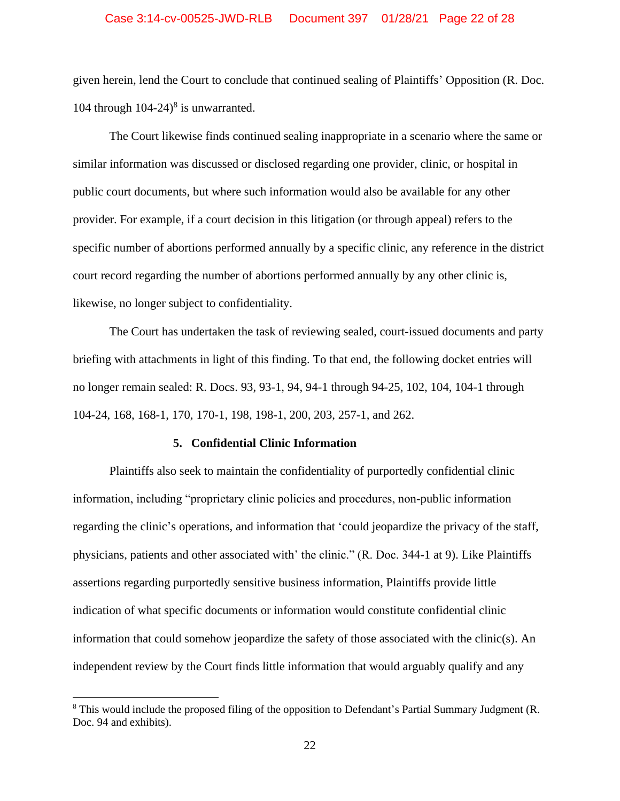# Case 3:14-cv-00525-JWD-RLB Document 397 01/28/21 Page 22 of 28

given herein, lend the Court to conclude that continued sealing of Plaintiffs' Opposition (R. Doc. 104 through  $104-24$ <sup>8</sup> is unwarranted.

The Court likewise finds continued sealing inappropriate in a scenario where the same or similar information was discussed or disclosed regarding one provider, clinic, or hospital in public court documents, but where such information would also be available for any other provider. For example, if a court decision in this litigation (or through appeal) refers to the specific number of abortions performed annually by a specific clinic, any reference in the district court record regarding the number of abortions performed annually by any other clinic is, likewise, no longer subject to confidentiality.

The Court has undertaken the task of reviewing sealed, court-issued documents and party briefing with attachments in light of this finding. To that end, the following docket entries will no longer remain sealed: R. Docs. 93, 93-1, 94, 94-1 through 94-25, 102, 104, 104-1 through 104-24, 168, 168-1, 170, 170-1, 198, 198-1, 200, 203, 257-1, and 262.

# **5. Confidential Clinic Information**

Plaintiffs also seek to maintain the confidentiality of purportedly confidential clinic information, including "proprietary clinic policies and procedures, non-public information regarding the clinic's operations, and information that 'could jeopardize the privacy of the staff, physicians, patients and other associated with' the clinic." (R. Doc. 344-1 at 9). Like Plaintiffs assertions regarding purportedly sensitive business information, Plaintiffs provide little indication of what specific documents or information would constitute confidential clinic information that could somehow jeopardize the safety of those associated with the clinic(s). An independent review by the Court finds little information that would arguably qualify and any

<sup>&</sup>lt;sup>8</sup> This would include the proposed filing of the opposition to Defendant's Partial Summary Judgment (R. Doc. 94 and exhibits).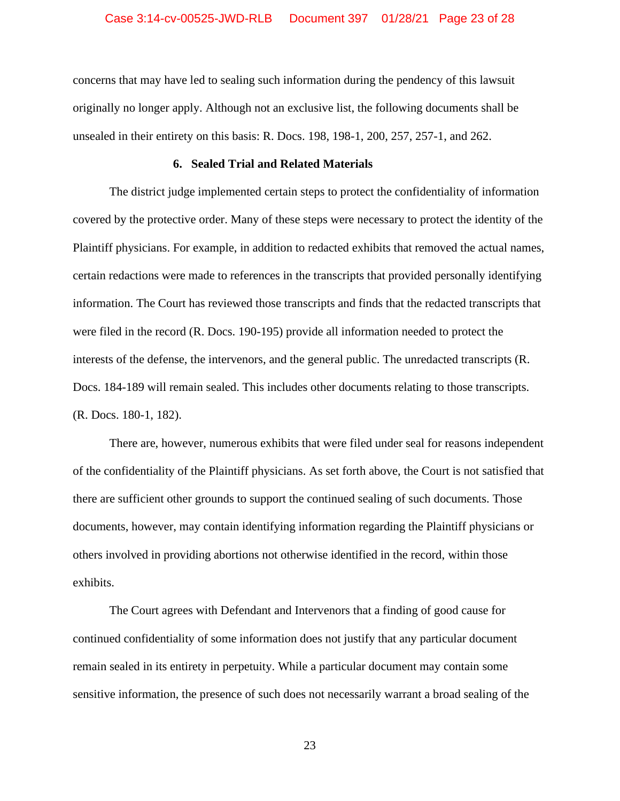# Case 3:14-cv-00525-JWD-RLB Document 397 01/28/21 Page 23 of 28

concerns that may have led to sealing such information during the pendency of this lawsuit originally no longer apply. Although not an exclusive list, the following documents shall be unsealed in their entirety on this basis: R. Docs. 198, 198-1, 200, 257, 257-1, and 262.

# **6. Sealed Trial and Related Materials**

The district judge implemented certain steps to protect the confidentiality of information covered by the protective order. Many of these steps were necessary to protect the identity of the Plaintiff physicians. For example, in addition to redacted exhibits that removed the actual names, certain redactions were made to references in the transcripts that provided personally identifying information. The Court has reviewed those transcripts and finds that the redacted transcripts that were filed in the record (R. Docs. 190-195) provide all information needed to protect the interests of the defense, the intervenors, and the general public. The unredacted transcripts (R. Docs. 184-189 will remain sealed. This includes other documents relating to those transcripts. (R. Docs. 180-1, 182).

There are, however, numerous exhibits that were filed under seal for reasons independent of the confidentiality of the Plaintiff physicians. As set forth above, the Court is not satisfied that there are sufficient other grounds to support the continued sealing of such documents. Those documents, however, may contain identifying information regarding the Plaintiff physicians or others involved in providing abortions not otherwise identified in the record, within those exhibits.

The Court agrees with Defendant and Intervenors that a finding of good cause for continued confidentiality of some information does not justify that any particular document remain sealed in its entirety in perpetuity. While a particular document may contain some sensitive information, the presence of such does not necessarily warrant a broad sealing of the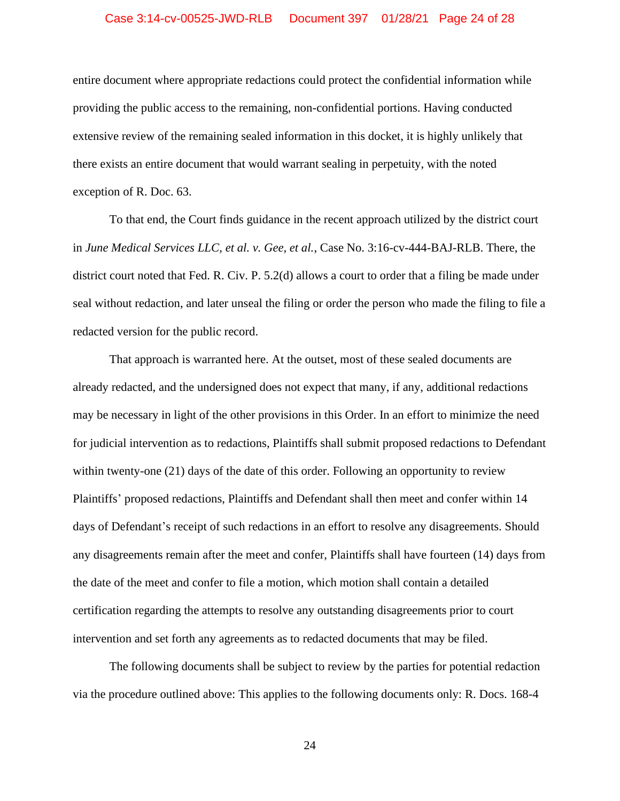# Case 3:14-cv-00525-JWD-RLB Document 397 01/28/21 Page 24 of 28

entire document where appropriate redactions could protect the confidential information while providing the public access to the remaining, non-confidential portions. Having conducted extensive review of the remaining sealed information in this docket, it is highly unlikely that there exists an entire document that would warrant sealing in perpetuity, with the noted exception of R. Doc. 63.

To that end, the Court finds guidance in the recent approach utilized by the district court in *June Medical Services LLC, et al. v. Gee, et al.*, Case No. 3:16-cv-444-BAJ-RLB. There, the district court noted that Fed. R. Civ. P. 5.2(d) allows a court to order that a filing be made under seal without redaction, and later unseal the filing or order the person who made the filing to file a redacted version for the public record.

That approach is warranted here. At the outset, most of these sealed documents are already redacted, and the undersigned does not expect that many, if any, additional redactions may be necessary in light of the other provisions in this Order. In an effort to minimize the need for judicial intervention as to redactions, Plaintiffs shall submit proposed redactions to Defendant within twenty-one (21) days of the date of this order. Following an opportunity to review Plaintiffs' proposed redactions, Plaintiffs and Defendant shall then meet and confer within 14 days of Defendant's receipt of such redactions in an effort to resolve any disagreements. Should any disagreements remain after the meet and confer, Plaintiffs shall have fourteen (14) days from the date of the meet and confer to file a motion, which motion shall contain a detailed certification regarding the attempts to resolve any outstanding disagreements prior to court intervention and set forth any agreements as to redacted documents that may be filed.

The following documents shall be subject to review by the parties for potential redaction via the procedure outlined above: This applies to the following documents only: R. Docs. 168-4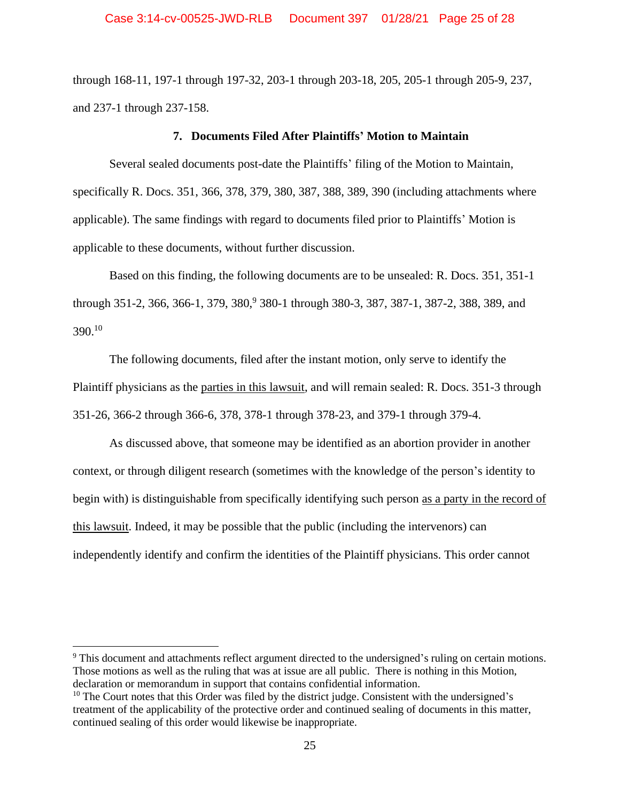through 168-11, 197-1 through 197-32, 203-1 through 203-18, 205, 205-1 through 205-9, 237, and 237-1 through 237-158.

### **7. Documents Filed After Plaintiffs' Motion to Maintain**

Several sealed documents post-date the Plaintiffs' filing of the Motion to Maintain, specifically R. Docs. 351, 366, 378, 379, 380, 387, 388, 389, 390 (including attachments where applicable). The same findings with regard to documents filed prior to Plaintiffs' Motion is applicable to these documents, without further discussion.

Based on this finding, the following documents are to be unsealed: R. Docs. 351, 351-1 through 351-2, 366, 366-1, 379, 380,<sup>9</sup> 380-1 through 380-3, 387, 387-1, 387-2, 388, 389, and 390. 10

The following documents, filed after the instant motion, only serve to identify the Plaintiff physicians as the parties in this lawsuit, and will remain sealed: R. Docs. 351-3 through 351-26, 366-2 through 366-6, 378, 378-1 through 378-23, and 379-1 through 379-4.

As discussed above, that someone may be identified as an abortion provider in another context, or through diligent research (sometimes with the knowledge of the person's identity to begin with) is distinguishable from specifically identifying such person as a party in the record of this lawsuit. Indeed, it may be possible that the public (including the intervenors) can independently identify and confirm the identities of the Plaintiff physicians. This order cannot

<sup>&</sup>lt;sup>9</sup> This document and attachments reflect argument directed to the undersigned's ruling on certain motions. Those motions as well as the ruling that was at issue are all public. There is nothing in this Motion, declaration or memorandum in support that contains confidential information.

 $10$  The Court notes that this Order was filed by the district judge. Consistent with the undersigned's treatment of the applicability of the protective order and continued sealing of documents in this matter, continued sealing of this order would likewise be inappropriate.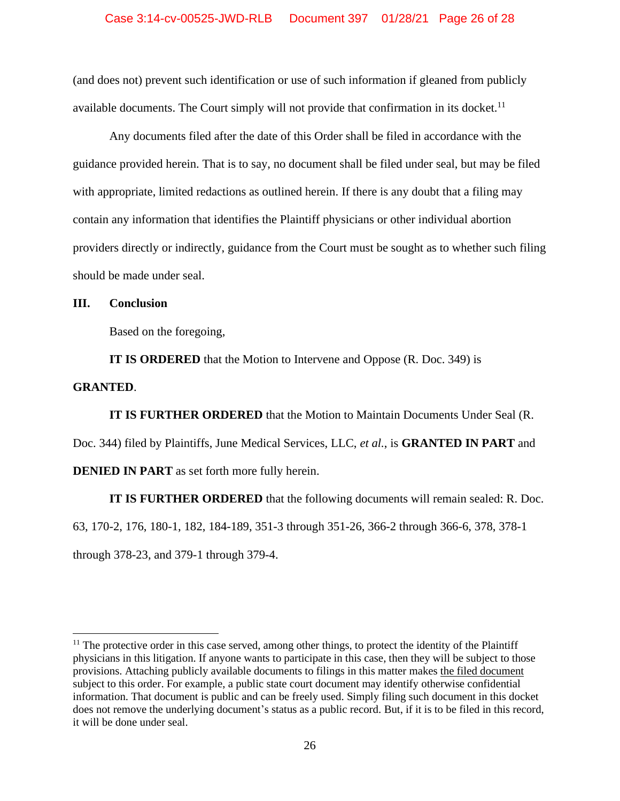# Case 3:14-cv-00525-JWD-RLB Document 397 01/28/21 Page 26 of 28

(and does not) prevent such identification or use of such information if gleaned from publicly available documents. The Court simply will not provide that confirmation in its docket.<sup>11</sup>

Any documents filed after the date of this Order shall be filed in accordance with the guidance provided herein. That is to say, no document shall be filed under seal, but may be filed with appropriate, limited redactions as outlined herein. If there is any doubt that a filing may contain any information that identifies the Plaintiff physicians or other individual abortion providers directly or indirectly, guidance from the Court must be sought as to whether such filing should be made under seal.

# **III. Conclusion**

Based on the foregoing,

**IT IS ORDERED** that the Motion to Intervene and Oppose (R. Doc. 349) is

## **GRANTED**.

**IT IS FURTHER ORDERED** that the Motion to Maintain Documents Under Seal (R.

Doc. 344) filed by Plaintiffs, June Medical Services, LLC, *et al.*, is **GRANTED IN PART** and

**DENIED IN PART** as set forth more fully herein.

**IT IS FURTHER ORDERED** that the following documents will remain sealed: R. Doc.

63, 170-2, 176, 180-1, 182, 184-189, 351-3 through 351-26, 366-2 through 366-6, 378, 378-1

through 378-23, and 379-1 through 379-4.

 $11$  The protective order in this case served, among other things, to protect the identity of the Plaintiff physicians in this litigation. If anyone wants to participate in this case, then they will be subject to those provisions. Attaching publicly available documents to filings in this matter makes the filed document subject to this order. For example, a public state court document may identify otherwise confidential information. That document is public and can be freely used. Simply filing such document in this docket does not remove the underlying document's status as a public record. But, if it is to be filed in this record, it will be done under seal.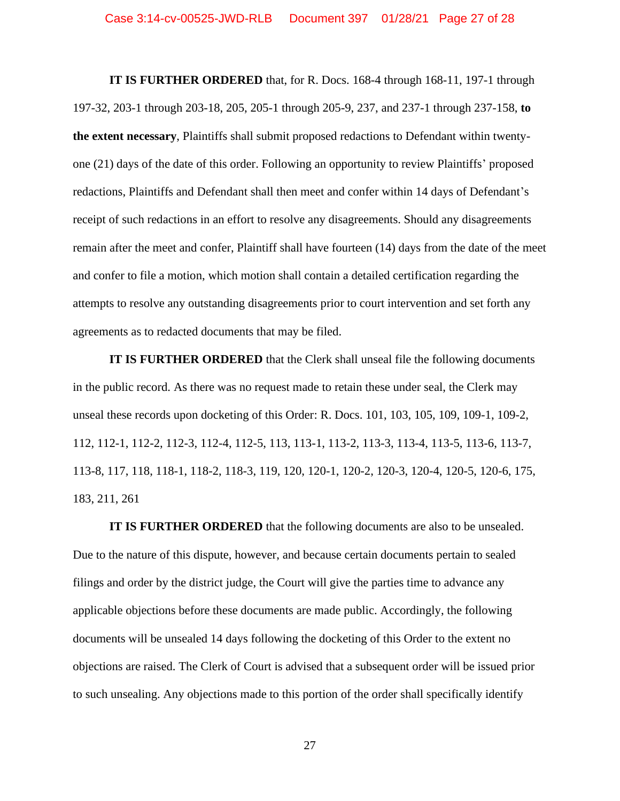**IT IS FURTHER ORDERED** that, for R. Docs. 168-4 through 168-11, 197-1 through 197-32, 203-1 through 203-18, 205, 205-1 through 205-9, 237, and 237-1 through 237-158, **to the extent necessary**, Plaintiffs shall submit proposed redactions to Defendant within twentyone (21) days of the date of this order. Following an opportunity to review Plaintiffs' proposed redactions, Plaintiffs and Defendant shall then meet and confer within 14 days of Defendant's receipt of such redactions in an effort to resolve any disagreements. Should any disagreements remain after the meet and confer, Plaintiff shall have fourteen (14) days from the date of the meet and confer to file a motion, which motion shall contain a detailed certification regarding the attempts to resolve any outstanding disagreements prior to court intervention and set forth any agreements as to redacted documents that may be filed.

**IT IS FURTHER ORDERED** that the Clerk shall unseal file the following documents in the public record. As there was no request made to retain these under seal, the Clerk may unseal these records upon docketing of this Order: R. Docs. 101, 103, 105, 109, 109-1, 109-2, 112, 112-1, 112-2, 112-3, 112-4, 112-5, 113, 113-1, 113-2, 113-3, 113-4, 113-5, 113-6, 113-7, 113-8, 117, 118, 118-1, 118-2, 118-3, 119, 120, 120-1, 120-2, 120-3, 120-4, 120-5, 120-6, 175, 183, 211, 261

**IT IS FURTHER ORDERED** that the following documents are also to be unsealed. Due to the nature of this dispute, however, and because certain documents pertain to sealed filings and order by the district judge, the Court will give the parties time to advance any applicable objections before these documents are made public. Accordingly, the following documents will be unsealed 14 days following the docketing of this Order to the extent no objections are raised. The Clerk of Court is advised that a subsequent order will be issued prior to such unsealing. Any objections made to this portion of the order shall specifically identify